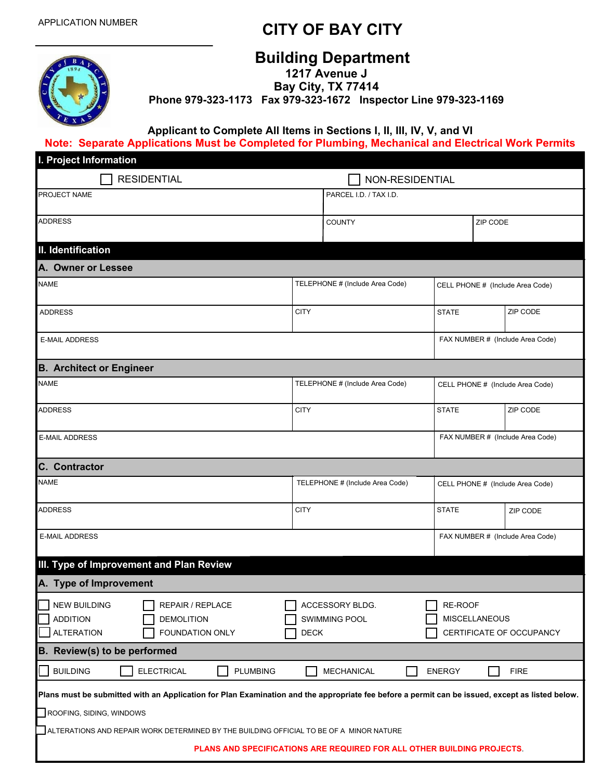## **CITY OF BAY CITY**

## **Building Department**



**1217 Avenue J Bay City, TX 77414 Phone 979-323-1173 Fax 979-323-1672 Inspector Line 979-323-1169**

**Applicant to Complete All Items in Sections I, II, III, IV, V, and VI** 

**Note: Separate Applications Must be Completed for Plumbing, Mechanical and Electrical Work Permits**

| <b>I. Project Information</b>                                                                                                                                                                                                                                                                                                                    |                                                 |                                                                     |               |                                  |                                  |  |  |
|--------------------------------------------------------------------------------------------------------------------------------------------------------------------------------------------------------------------------------------------------------------------------------------------------------------------------------------------------|-------------------------------------------------|---------------------------------------------------------------------|---------------|----------------------------------|----------------------------------|--|--|
| <b>RESIDENTIAL</b>                                                                                                                                                                                                                                                                                                                               |                                                 | NON-RESIDENTIAL                                                     |               |                                  |                                  |  |  |
| PROJECT NAME                                                                                                                                                                                                                                                                                                                                     |                                                 | PARCEL I.D. / TAX I.D.                                              |               |                                  |                                  |  |  |
| <b>ADDRESS</b>                                                                                                                                                                                                                                                                                                                                   |                                                 | <b>COUNTY</b>                                                       |               | ZIP CODE                         |                                  |  |  |
| II. Identification                                                                                                                                                                                                                                                                                                                               |                                                 |                                                                     |               |                                  |                                  |  |  |
| A. Owner or Lessee                                                                                                                                                                                                                                                                                                                               |                                                 |                                                                     |               |                                  |                                  |  |  |
| <b>NAME</b>                                                                                                                                                                                                                                                                                                                                      |                                                 | TELEPHONE # (Include Area Code)<br>CELL PHONE # (Include Area Code) |               |                                  |                                  |  |  |
| <b>ADDRESS</b>                                                                                                                                                                                                                                                                                                                                   | <b>CITY</b>                                     |                                                                     | <b>STATE</b>  |                                  | ZIP CODE                         |  |  |
| <b>E-MAIL ADDRESS</b>                                                                                                                                                                                                                                                                                                                            |                                                 |                                                                     |               | FAX NUMBER # (Include Area Code) |                                  |  |  |
| <b>B. Architect or Engineer</b>                                                                                                                                                                                                                                                                                                                  |                                                 |                                                                     |               |                                  |                                  |  |  |
| NAME                                                                                                                                                                                                                                                                                                                                             | TELEPHONE # (Include Area Code)                 |                                                                     |               | CELL PHONE # (Include Area Code) |                                  |  |  |
| <b>ADDRESS</b>                                                                                                                                                                                                                                                                                                                                   | <b>CITY</b>                                     |                                                                     | <b>STATE</b>  |                                  | ZIP CODE                         |  |  |
| <b>E-MAIL ADDRESS</b>                                                                                                                                                                                                                                                                                                                            |                                                 |                                                                     |               |                                  | FAX NUMBER # (Include Area Code) |  |  |
| <b>C. Contractor</b>                                                                                                                                                                                                                                                                                                                             |                                                 |                                                                     |               |                                  |                                  |  |  |
| NAME                                                                                                                                                                                                                                                                                                                                             | TELEPHONE # (Include Area Code)                 |                                                                     |               | CELL PHONE # (Include Area Code) |                                  |  |  |
| <b>ADDRESS</b>                                                                                                                                                                                                                                                                                                                                   | <b>CITY</b>                                     |                                                                     | <b>STATE</b>  |                                  | ZIP CODE                         |  |  |
| <b>E-MAIL ADDRESS</b>                                                                                                                                                                                                                                                                                                                            |                                                 | FAX NUMBER # (Include Area Code)                                    |               |                                  |                                  |  |  |
| III. Type of Improvement and Plan Review                                                                                                                                                                                                                                                                                                         |                                                 |                                                                     |               |                                  |                                  |  |  |
| A. Type of Improvement                                                                                                                                                                                                                                                                                                                           |                                                 |                                                                     |               |                                  |                                  |  |  |
| <b>NEW BUILDING</b><br>REPAIR / REPLACE<br><b>ADDITION</b><br><b>DEMOLITION</b><br><b>ALTERATION</b><br>FOUNDATION ONLY                                                                                                                                                                                                                          | ACCESSORY BLDG.<br>SWIMMING POOL<br><b>DECK</b> |                                                                     | RE-ROOF       | MISCELLANEOUS                    | CERTIFICATE OF OCCUPANCY         |  |  |
| B. Review(s) to be performed                                                                                                                                                                                                                                                                                                                     |                                                 |                                                                     |               |                                  |                                  |  |  |
| <b>BUILDING</b><br><b>ELECTRICAL</b><br><b>PLUMBING</b>                                                                                                                                                                                                                                                                                          |                                                 | MECHANICAL                                                          | <b>ENERGY</b> |                                  | <b>FIRE</b>                      |  |  |
| Plans must be submitted with an Application for Plan Examination and the appropriate fee before a permit can be issued, except as listed below.<br>ROOFING, SIDING, WINDOWS<br>ALTERATIONS AND REPAIR WORK DETERMINED BY THE BUILDING OFFICIAL TO BE OF A MINOR NATURE<br>PLANS AND SPECIFICATIONS ARE REQUIRED FOR ALL OTHER BUILDING PROJECTS. |                                                 |                                                                     |               |                                  |                                  |  |  |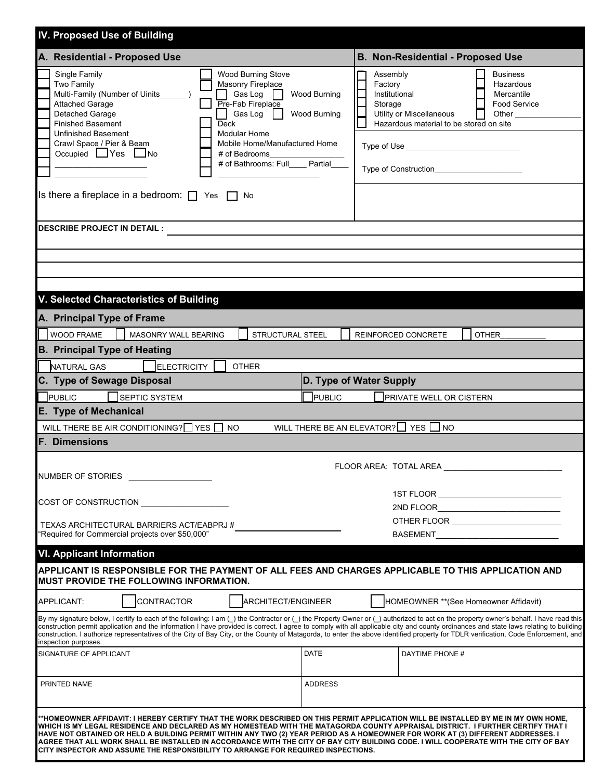| IV. Proposed Use of Building                                                                                                                                                                                                                                                                                                                                                                                                                                                                                                                                                                                                          |                                                                                                                                                                                                                                  |                                                 |                                                                                                                                                                                                                                      |  |  |  |
|---------------------------------------------------------------------------------------------------------------------------------------------------------------------------------------------------------------------------------------------------------------------------------------------------------------------------------------------------------------------------------------------------------------------------------------------------------------------------------------------------------------------------------------------------------------------------------------------------------------------------------------|----------------------------------------------------------------------------------------------------------------------------------------------------------------------------------------------------------------------------------|-------------------------------------------------|--------------------------------------------------------------------------------------------------------------------------------------------------------------------------------------------------------------------------------------|--|--|--|
| A. Residential - Proposed Use                                                                                                                                                                                                                                                                                                                                                                                                                                                                                                                                                                                                         |                                                                                                                                                                                                                                  | <b>B. Non-Residential - Proposed Use</b>        |                                                                                                                                                                                                                                      |  |  |  |
| Single Family<br>Two Family<br>Multi-Family (Number of Uinits<br><b>Attached Garage</b><br>Detached Garage<br><b>Finished Basement</b><br><b>Deck</b><br><b>Unfinished Basement</b><br>Crawl Space / Pier & Beam<br>Occupied $\Box$ Yes<br>l No                                                                                                                                                                                                                                                                                                                                                                                       | Wood Burning Stove<br><b>Masonry Fireplace</b><br>Gas Log<br>Wood Burning<br>Pre-Fab Fireplace<br>Wood Burning<br>Gas Log<br>Modular Home<br>Mobile Home/Manufactured Home<br># of Bedrooms<br># of Bathrooms: Full____ Partial_ | Assembly<br>Factory<br>Institutional<br>Storage | <b>Business</b><br>Hazardous<br>Mercantile<br><b>Food Service</b><br>Utility or Miscellaneous<br>Other<br>Hazardous material to be stored on site<br>Type of Construction                                                            |  |  |  |
| Is there a fireplace in a bedroom: $\Box$ Yes $\Box$ No                                                                                                                                                                                                                                                                                                                                                                                                                                                                                                                                                                               |                                                                                                                                                                                                                                  |                                                 |                                                                                                                                                                                                                                      |  |  |  |
| <b>DESCRIBE PROJECT IN DETAIL :</b>                                                                                                                                                                                                                                                                                                                                                                                                                                                                                                                                                                                                   |                                                                                                                                                                                                                                  |                                                 |                                                                                                                                                                                                                                      |  |  |  |
|                                                                                                                                                                                                                                                                                                                                                                                                                                                                                                                                                                                                                                       |                                                                                                                                                                                                                                  |                                                 |                                                                                                                                                                                                                                      |  |  |  |
|                                                                                                                                                                                                                                                                                                                                                                                                                                                                                                                                                                                                                                       |                                                                                                                                                                                                                                  |                                                 |                                                                                                                                                                                                                                      |  |  |  |
|                                                                                                                                                                                                                                                                                                                                                                                                                                                                                                                                                                                                                                       |                                                                                                                                                                                                                                  |                                                 |                                                                                                                                                                                                                                      |  |  |  |
| V. Selected Characteristics of Building                                                                                                                                                                                                                                                                                                                                                                                                                                                                                                                                                                                               |                                                                                                                                                                                                                                  |                                                 |                                                                                                                                                                                                                                      |  |  |  |
| A. Principal Type of Frame                                                                                                                                                                                                                                                                                                                                                                                                                                                                                                                                                                                                            |                                                                                                                                                                                                                                  |                                                 |                                                                                                                                                                                                                                      |  |  |  |
| WOOD FRAME<br>MASONRY WALL BEARING                                                                                                                                                                                                                                                                                                                                                                                                                                                                                                                                                                                                    | STRUCTURAL STEEL                                                                                                                                                                                                                 |                                                 | REINFORCED CONCRETE<br><b>OTHER</b>                                                                                                                                                                                                  |  |  |  |
| <b>B. Principal Type of Heating</b>                                                                                                                                                                                                                                                                                                                                                                                                                                                                                                                                                                                                   |                                                                                                                                                                                                                                  |                                                 |                                                                                                                                                                                                                                      |  |  |  |
| <b>ELECTRICITY</b><br><b>NATURAL GAS</b>                                                                                                                                                                                                                                                                                                                                                                                                                                                                                                                                                                                              | <b>OTHER</b>                                                                                                                                                                                                                     |                                                 |                                                                                                                                                                                                                                      |  |  |  |
| C. Type of Sewage Disposal                                                                                                                                                                                                                                                                                                                                                                                                                                                                                                                                                                                                            | D. Type of Water Supply                                                                                                                                                                                                          |                                                 |                                                                                                                                                                                                                                      |  |  |  |
| SEPTIC SYSTEM<br><b>PUBLIC</b>                                                                                                                                                                                                                                                                                                                                                                                                                                                                                                                                                                                                        | PUBLIC                                                                                                                                                                                                                           |                                                 | PRIVATE WELL OR CISTERN                                                                                                                                                                                                              |  |  |  |
| E. Type of Mechanical                                                                                                                                                                                                                                                                                                                                                                                                                                                                                                                                                                                                                 |                                                                                                                                                                                                                                  |                                                 |                                                                                                                                                                                                                                      |  |  |  |
| WILL THERE BE AIR CONDITIONING? $\Box$ YES $\Box$ NO                                                                                                                                                                                                                                                                                                                                                                                                                                                                                                                                                                                  | WILL THERE BE AN ELEVATOR? $\Box$ YES $\Box$ NO                                                                                                                                                                                  |                                                 |                                                                                                                                                                                                                                      |  |  |  |
| <b>F. Dimensions</b>                                                                                                                                                                                                                                                                                                                                                                                                                                                                                                                                                                                                                  |                                                                                                                                                                                                                                  |                                                 |                                                                                                                                                                                                                                      |  |  |  |
|                                                                                                                                                                                                                                                                                                                                                                                                                                                                                                                                                                                                                                       |                                                                                                                                                                                                                                  |                                                 |                                                                                                                                                                                                                                      |  |  |  |
| NUMBER OF STORIES                                                                                                                                                                                                                                                                                                                                                                                                                                                                                                                                                                                                                     |                                                                                                                                                                                                                                  |                                                 | FLOOR AREA: TOTAL AREA                                                                                                                                                                                                               |  |  |  |
|                                                                                                                                                                                                                                                                                                                                                                                                                                                                                                                                                                                                                                       |                                                                                                                                                                                                                                  |                                                 |                                                                                                                                                                                                                                      |  |  |  |
| COST OF CONSTRUCTION <b>EXECUTE SET AND</b>                                                                                                                                                                                                                                                                                                                                                                                                                                                                                                                                                                                           |                                                                                                                                                                                                                                  |                                                 |                                                                                                                                                                                                                                      |  |  |  |
| TEXAS ARCHITECTURAL BARRIERS ACT/EABPRJ#                                                                                                                                                                                                                                                                                                                                                                                                                                                                                                                                                                                              |                                                                                                                                                                                                                                  |                                                 | OTHER FLOOR _____________________________                                                                                                                                                                                            |  |  |  |
| "Required for Commercial projects over \$50,000"                                                                                                                                                                                                                                                                                                                                                                                                                                                                                                                                                                                      |                                                                                                                                                                                                                                  |                                                 | BASEMENT <b>Andrew Contract Contract Contract Contract Contract Contract Contract Contract Contract Contract Contract Contract Contract Contract Contract Contract Contract Contract Contract Contract Contract Contract Contrac</b> |  |  |  |
| <b>VI. Applicant Information</b>                                                                                                                                                                                                                                                                                                                                                                                                                                                                                                                                                                                                      |                                                                                                                                                                                                                                  |                                                 |                                                                                                                                                                                                                                      |  |  |  |
| APPLICANT IS RESPONSIBLE FOR THE PAYMENT OF ALL FEES AND CHARGES APPLICABLE TO THIS APPLICATION AND<br>MUST PROVIDE THE FOLLOWING INFORMATION.                                                                                                                                                                                                                                                                                                                                                                                                                                                                                        |                                                                                                                                                                                                                                  |                                                 |                                                                                                                                                                                                                                      |  |  |  |
| APPLICANT:<br><b>CONTRACTOR</b>                                                                                                                                                                                                                                                                                                                                                                                                                                                                                                                                                                                                       | ARCHITECT/ENGINEER                                                                                                                                                                                                               |                                                 | HOMEOWNER ** (See Homeowner Affidavit)                                                                                                                                                                                               |  |  |  |
| By my signature below, I certify to each of the following: I am (_) the Contractor or (_) the Property Owner or (_) authorized to act on the property owner's behalf. I have read this<br>construction permit application and the information I have provided is correct. I agree to comply with all applicable city and county ordinances and state laws relating to building<br>construction. I authorize representatives of the City of Bay City, or the County of Matagorda, to enter the above identified property for TDLR verification, Code Enforcement, and<br>inspection purposes.                                          |                                                                                                                                                                                                                                  |                                                 |                                                                                                                                                                                                                                      |  |  |  |
| SIGNATURE OF APPLICANT<br><b>DATE</b>                                                                                                                                                                                                                                                                                                                                                                                                                                                                                                                                                                                                 |                                                                                                                                                                                                                                  |                                                 | DAYTIME PHONE #                                                                                                                                                                                                                      |  |  |  |
| PRINTED NAME                                                                                                                                                                                                                                                                                                                                                                                                                                                                                                                                                                                                                          | <b>ADDRESS</b>                                                                                                                                                                                                                   |                                                 |                                                                                                                                                                                                                                      |  |  |  |
| **HOMEOWNER AFFIDAVIT: I HEREBY CERTIFY THAT THE WORK DESCRIBED ON THIS PERMIT APPLICATION WILL BE INSTALLED BY ME IN MY OWN HOME,<br>WHICH IS MY LEGAL RESIDENCE AND DECLARED AS MY HOMESTEAD WITH THE MATAGORDA COUNTY APPRAISAL DISTRICT. I FURTHER CERTIFY THAT I<br>HAVE NOT OBTAINED OR HELD A BUILDING PERMIT WITHIN ANY TWO (2) YEAR PERIOD AS A HOMEOWNER FOR WORK AT (3) DIFFERENT ADDRESSES. I<br>AGREE THAT ALL WORK SHALL BE INSTALLED IN ACCORDANCE WITH THE CITY OF BAY CITY BUILDING CODE. I WILL COOPERATE WITH THE CITY OF BAY<br>CITY INSPECTOR AND ASSUME THE RESPONSIBILITY TO ARRANGE FOR REQUIRED INSPECTIONS. |                                                                                                                                                                                                                                  |                                                 |                                                                                                                                                                                                                                      |  |  |  |